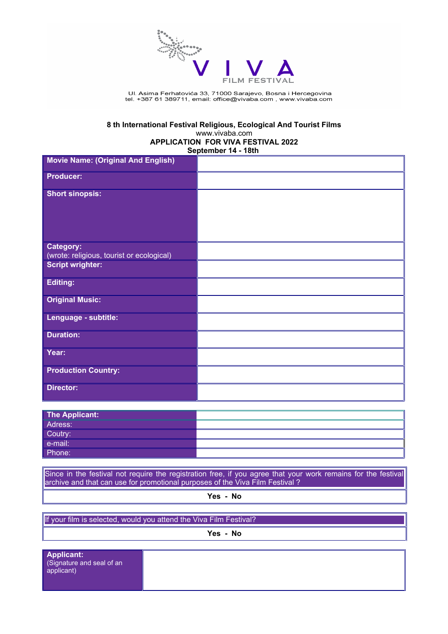

Ul. Asima Ferhatovića 33, 71 000 Sarajevo, Bosna i Hercegovina<br>tel. +387 61 389711, email: office@vivaba.com , www.vivaba.com

# **8 th International Festival Religious, Ecological And Tourist Films** www.vivaba.com **APPLICATION FOR VIVA FESTIVAL 2022**

**September 14 - 18th** 

| <b>Movie Name: (Original And English)</b> |  |
|-------------------------------------------|--|
| <b>Producer:</b>                          |  |
|                                           |  |
| <b>Short sinopsis:</b>                    |  |
|                                           |  |
|                                           |  |
|                                           |  |
| Category:                                 |  |
| (wrote: religious, tourist or ecological) |  |
| <b>Script wrighter:</b>                   |  |
| <b>Editing:</b>                           |  |
|                                           |  |
| <b>Original Music:</b>                    |  |
| Lenguage - subtitle:                      |  |
| <b>Duration:</b>                          |  |
|                                           |  |
| Year:                                     |  |
| <b>Production Country:</b>                |  |
|                                           |  |
| <b>Director:</b>                          |  |
|                                           |  |
| <b>The Applicant:</b>                     |  |
| Adress:                                   |  |

| Adress:            |  |
|--------------------|--|
| Coutry:<br>e-mail: |  |
|                    |  |
| Phone:             |  |

Since in the festival not require the registration free, if you agree that your work remains for the festival archive and that can use for promotional purposes of the Viva Film Festival ?

**Yes - No**

If your film is selected, would you attend the Viva Film Festival?

**Yes - No**

**Applicant:** (Signature and seal of an applicant)